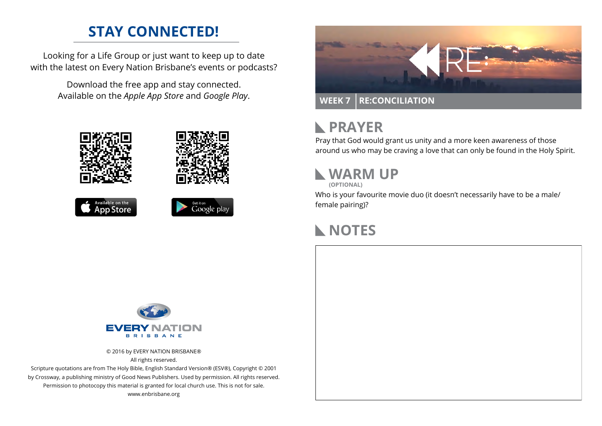## **STAY CONNECTED!**

Looking for a Life Group or just want to keep up to date with the latest on Every Nation Brisbane's events or podcasts?

> Download the free app and stay connected. Available on the *Apple App Store* and *Google Play*.





```
Available on the<br>App Store
```




#### **PRAYER**  $\mathbb{R}$

Pray that God would grant us unity and a more keen awareness of those around us who may be craving a love that can only be found in the Holy Spirit.

# **WARM UP**

**(OPTIONAL)**

Who is your favourite movie duo (it doesn't necessarily have to be a male/ female pairing)?

# **NOTES**



© 2016 by EVERY NATION BRISBANE® All rights reserved.

Scripture quotations are from The Holy Bible, English Standard Version® (ESV®), Copyright © 2001 by Crossway, a publishing ministry of Good News Publishers. Used by permission. All rights reserved. Permission to photocopy this material is granted for local church use. This is not for sale. www.enbrisbane.org